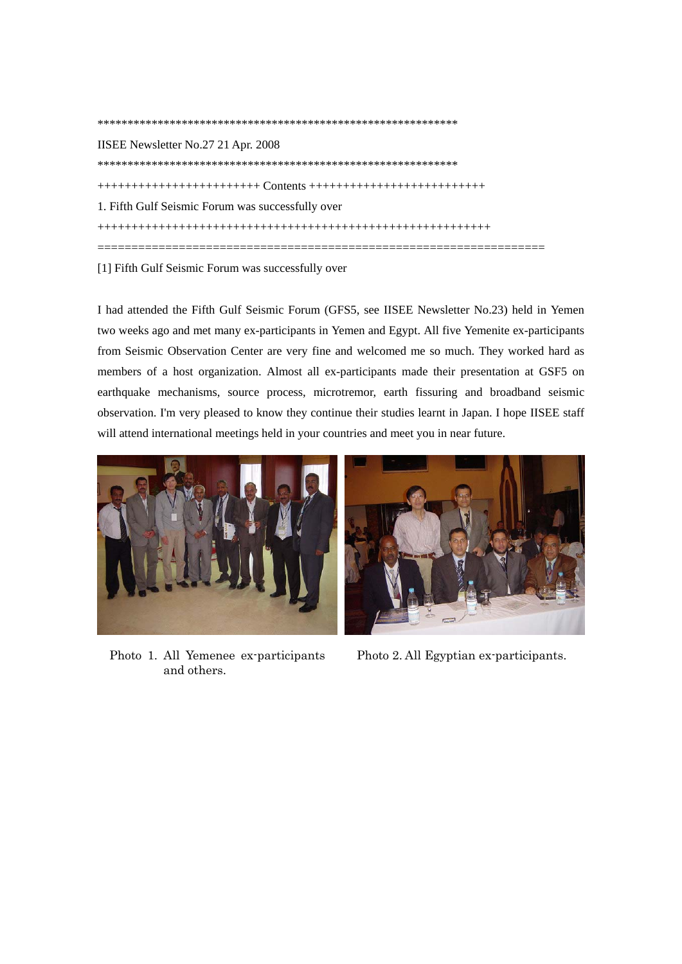\*\*\*\*\*\*\*\*\*\*\*\*\*\*\*\*\*\*\*\*\*\*\*\*\*\*\*\*\*\*\*\*\*\*\*\*\*\*\*\*\*\*\*\*\*\*\*\*\*\*\*\*\*\*\*\*\*\*\*\* IISEE Newsletter No.27 21 Apr. 2008 \*\*\*\*\*\*\*\*\*\*\*\*\*\*\*\*\*\*\*\*\*\*\*\*\*\*\*\*\*\*\*\*\*\*\*\*\*\*\*\*\*\*\*\*\*\*\*\*\*\*\*\*\*\*\*\*\*\*\*\* ++++++++++++++++++++++++ Contents ++++++++++++++++++++++++++ 1. Fifth Gulf Seismic Forum was successfully over ++++++++++++++++++++++++++++++++++++++++++++++++++++++++++ ==================================================================

[1] Fifth Gulf Seismic Forum was successfully over

I had attended the Fifth Gulf Seismic Forum (GFS5, see IISEE Newsletter No.23) held in Yemen two weeks ago and met many ex-participants in Yemen and Egypt. All five Yemenite ex-participants from Seismic Observation Center are very fine and welcomed me so much. They worked hard as members of a host organization. Almost all ex-participants made their presentation at GSF5 on earthquake mechanisms, source process, microtremor, earth fissuring and broadband seismic observation. I'm very pleased to know they continue their studies learnt in Japan. I hope IISEE staff will attend international meetings held in your countries and meet you in near future.



Photo 1. All Yemenee ex-participants and others.



Photo 2. All Egyptian ex-participants.